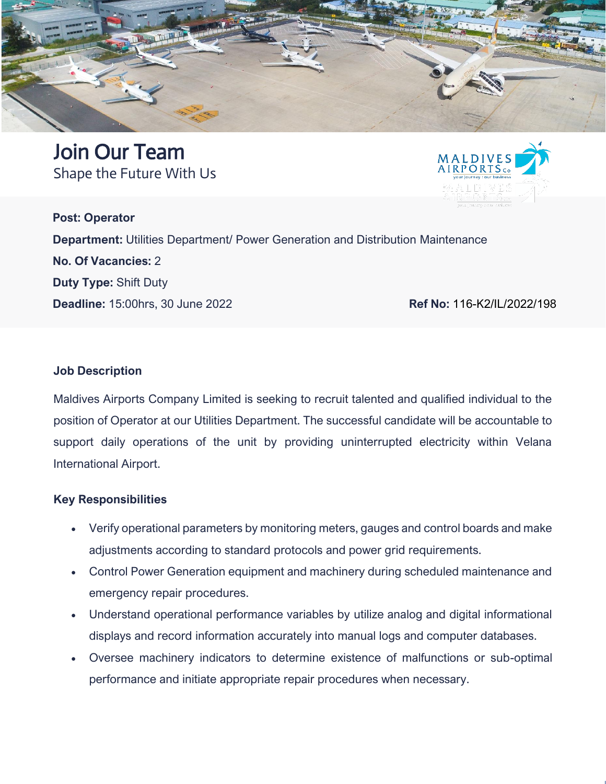

Join Our Team Shape the Future With Us



**Post: Operator Department:** Utilities Department/ Power Generation and Distribution Maintenance **No. Of Vacancies:** 2 **Duty Type:** Shift Duty **Deadline:** 15:00hrs, 30 June 2022<br>**Ref No: 116-K2/IL/2022/198** 

### **Job Description**

Maldives Airports Company Limited is seeking to recruit talented and qualified individual to the position of Operator at our Utilities Department. The successful candidate will be accountable to support daily operations of the unit by providing uninterrupted electricity within Velana International Airport.

#### **Key Responsibilities**

- Verify operational parameters by monitoring meters, gauges and control boards and make adjustments according to standard protocols and power grid requirements.
- Control Power Generation equipment and machinery during scheduled maintenance and emergency repair procedures.
- Understand operational performance variables by utilize analog and digital informational displays and record information accurately into manual logs and computer databases.
- Oversee machinery indicators to determine existence of malfunctions or sub-optimal performance and initiate appropriate repair procedures when necessary.